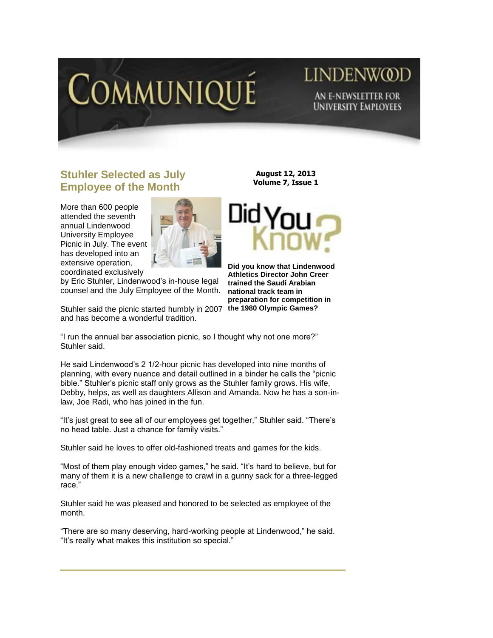

# LINDENW@D **AN E-NEWSLETTER FOR UNIVERSITY EMPLOYEES**

## **Stuhler Selected as July Employee of the Month**

More than 600 people attended the seventh annual Lindenwood University Employee Picnic in July. The event has developed into an extensive operation, coordinated exclusively



by Eric Stuhler, Lindenwood's in-house legal counsel and the July Employee of the Month.

Stuhler said the picnic started humbly in 2007 **the 1980 Olympic Games?** and has become a wonderful tradition.

**August 12, 2013 Volume 7, Issue 1**



**Did you know that Lindenwood Athletics Director John Creer trained the Saudi Arabian national track team in preparation for competition in** 

"I run the annual bar association picnic, so I thought why not one more?" Stuhler said.

He said Lindenwood's 2 1/2-hour picnic has developed into nine months of planning, with every nuance and detail outlined in a binder he calls the "picnic bible." Stuhler's picnic staff only grows as the Stuhler family grows. His wife, Debby, helps, as well as daughters Allison and Amanda. Now he has a son-inlaw, Joe Radi, who has joined in the fun.

"It's just great to see all of our employees get together," Stuhler said. "There's no head table. Just a chance for family visits."

Stuhler said he loves to offer old-fashioned treats and games for the kids.

"Most of them play enough video games," he said. "It's hard to believe, but for many of them it is a new challenge to crawl in a gunny sack for a three-legged race."

Stuhler said he was pleased and honored to be selected as employee of the month.

"There are so many deserving, hard-working people at Lindenwood," he said. "It's really what makes this institution so special."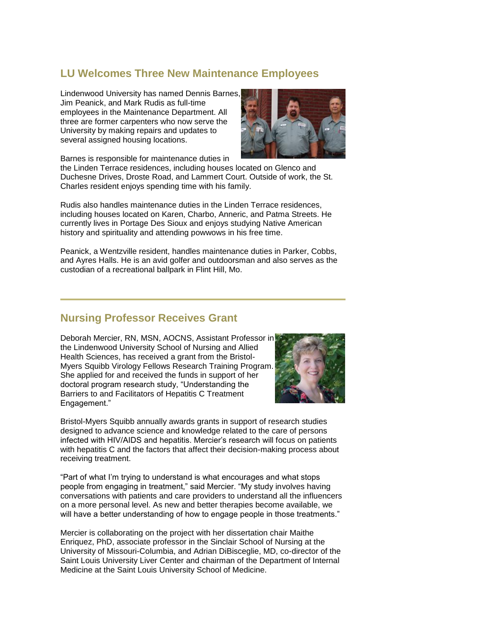## **LU Welcomes Three New Maintenance Employees**

Lindenwood University has named Dennis Barnes, Jim Peanick, and Mark Rudis as full-time employees in the Maintenance Department. All three are former carpenters who now serve the University by making repairs and updates to several assigned housing locations.



Barnes is responsible for maintenance duties in

the Linden Terrace residences, including houses located on Glenco and Duchesne Drives, Droste Road, and Lammert Court. Outside of work, the St. Charles resident enjoys spending time with his family.

Rudis also handles maintenance duties in the Linden Terrace residences, including houses located on Karen, Charbo, Anneric, and Patma Streets. He currently lives in Portage Des Sioux and enjoys studying Native American history and spirituality and attending powwows in his free time.

Peanick, a Wentzville resident, handles maintenance duties in Parker, Cobbs, and Ayres Halls. He is an avid golfer and outdoorsman and also serves as the custodian of a recreational ballpark in Flint Hill, Mo.

#### **Nursing Professor Receives Grant**

Deborah Mercier, RN, MSN, AOCNS, Assistant Professor in the Lindenwood University School of Nursing and Allied Health Sciences, has received a grant from the Bristol-Myers Squibb Virology Fellows Research Training Program. She applied for and received the funds in support of her doctoral program research study, "Understanding the Barriers to and Facilitators of Hepatitis C Treatment Engagement."



Bristol-Myers Squibb annually awards grants in support of research studies designed to advance science and knowledge related to the care of persons infected with HIV/AIDS and hepatitis. Mercier's research will focus on patients with hepatitis C and the factors that affect their decision-making process about receiving treatment.

"Part of what I'm trying to understand is what encourages and what stops people from engaging in treatment," said Mercier. "My study involves having conversations with patients and care providers to understand all the influencers on a more personal level. As new and better therapies become available, we will have a better understanding of how to engage people in those treatments."

Mercier is collaborating on the project with her dissertation chair Maithe Enriquez, PhD, associate professor in the Sinclair School of Nursing at the University of Missouri-Columbia, and Adrian DiBisceglie, MD, co-director of the Saint Louis University Liver Center and chairman of the Department of Internal Medicine at the Saint Louis University School of Medicine.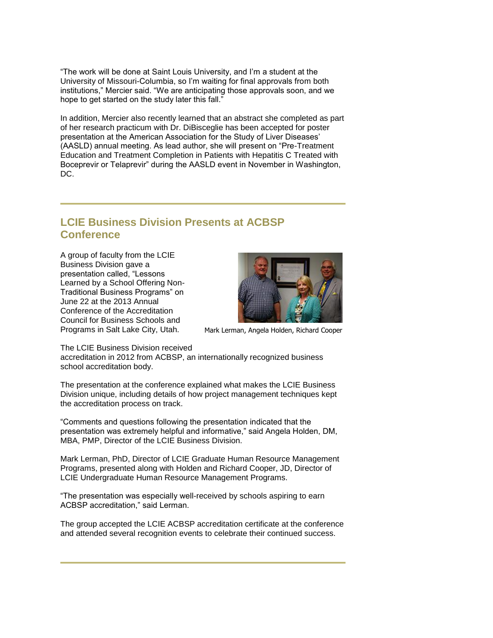"The work will be done at Saint Louis University, and I'm a student at the University of Missouri-Columbia, so I'm waiting for final approvals from both institutions," Mercier said. "We are anticipating those approvals soon, and we hope to get started on the study later this fall."

In addition, Mercier also recently learned that an abstract she completed as part of her research practicum with Dr. DiBisceglie has been accepted for poster presentation at the American Association for the Study of Liver Diseases' (AASLD) annual meeting. As lead author, she will present on "Pre-Treatment Education and Treatment Completion in Patients with Hepatitis C Treated with Boceprevir or Telaprevir" during the AASLD event in November in Washington, DC.

## **LCIE Business Division Presents at ACBSP Conference**

A group of faculty from the LCIE Business Division gave a presentation called, "Lessons Learned by a School Offering Non-Traditional Business Programs" on June 22 at the 2013 Annual Conference of the Accreditation Council for Business Schools and Programs in Salt Lake City, Utah.



Mark Lerman, Angela Holden, Richard Cooper

The LCIE Business Division received

accreditation in 2012 from ACBSP, an internationally recognized business school accreditation body.

The presentation at the conference explained what makes the LCIE Business Division unique, including details of how project management techniques kept the accreditation process on track.

"Comments and questions following the presentation indicated that the presentation was extremely helpful and informative," said Angela Holden, DM, MBA, PMP, Director of the LCIE Business Division.

Mark Lerman, PhD, Director of LCIE Graduate Human Resource Management Programs, presented along with Holden and Richard Cooper, JD, Director of LCIE Undergraduate Human Resource Management Programs.

"The presentation was especially well-received by schools aspiring to earn ACBSP accreditation," said Lerman.

The group accepted the LCIE ACBSP accreditation certificate at the conference and attended several recognition events to celebrate their continued success.